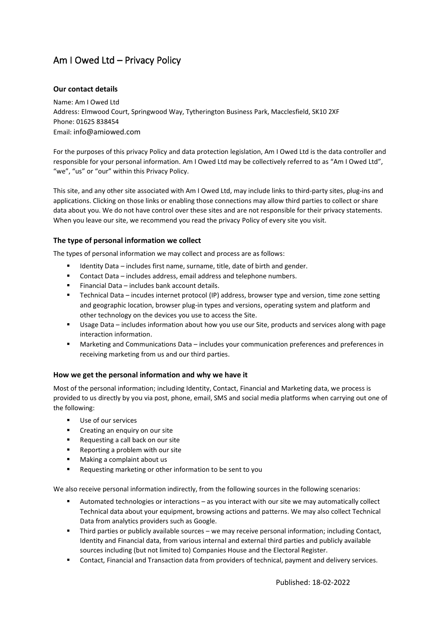# Am I Owed Ltd – Privacy Policy

# **Our contact details**

Name: Am I Owed Ltd Address: Elmwood Court, Springwood Way, Tytherington Business Park, Macclesfield, SK10 2XF Phone: 01625 838454 Email: info@amiowed.com

For the purposes of this privacy Policy and data protection legislation, Am I Owed Ltd is the data controller and responsible for your personal information. Am I Owed Ltd may be collectively referred to as "Am I Owed Ltd", "we", "us" or "our" within this Privacy Policy.

This site, and any other site associated with Am I Owed Ltd, may include links to third-party sites, plug-ins and applications. Clicking on those links or enabling those connections may allow third parties to collect or share data about you. We do not have control over these sites and are not responsible for their privacy statements. When you leave our site, we recommend you read the privacy Policy of every site you visit.

# **The type of personal information we collect**

The types of personal information we may collect and process are as follows:

- Identity Data includes first name, surname, title, date of birth and gender.
- Contact Data includes address, email address and telephone numbers.
- Financial Data includes bank account details.
- Technical Data incudes internet protocol (IP) address, browser type and version, time zone setting and geographic location, browser plug-in types and versions, operating system and platform and other technology on the devices you use to access the Site.
- Usage Data includes information about how you use our Site, products and services along with page interaction information.
- Marketing and Communications Data includes your communication preferences and preferences in receiving marketing from us and our third parties.

## **How we get the personal information and why we have it**

Most of the personal information; including Identity, Contact, Financial and Marketing data, we process is provided to us directly by you via post, phone, email, SMS and social media platforms when carrying out one of the following:

- Use of our services
- Creating an enquiry on our site
- Requesting a call back on our site
- Reporting a problem with our site
- Making a complaint about us
- Requesting marketing or other information to be sent to you

We also receive personal information indirectly, from the following sources in the following scenarios:

- Automated technologies or interactions as you interact with our site we may automatically collect Technical data about your equipment, browsing actions and patterns. We may also collect Technical Data from analytics providers such as Google.
- Third parties or publicly available sources we may receive personal information; including Contact, Identity and Financial data, from various internal and external third parties and publicly available sources including (but not limited to) Companies House and the Electoral Register.
- Contact, Financial and Transaction data from providers of technical, payment and delivery services.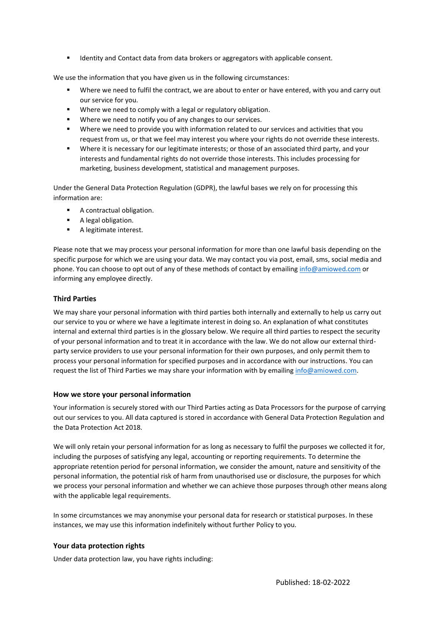■ Identity and Contact data from data brokers or aggregators with applicable consent.

We use the information that you have given us in the following circumstances:

- Where we need to fulfil the contract, we are about to enter or have entered, with you and carry out our service for you.
- Where we need to comply with a legal or regulatory obligation.
- Where we need to notify you of any changes to our services.
- Where we need to provide you with information related to our services and activities that you request from us, or that we feel may interest you where your rights do not override these interests.
- **■** Where it is necessary for our legitimate interests; or those of an associated third party, and your interests and fundamental rights do not override those interests. This includes processing for marketing, business development, statistical and management purposes.

Under the General Data Protection Regulation (GDPR), the lawful bases we rely on for processing this information are:

- A contractual obligation.
- A legal obligation.
- A legitimate interest.

Please note that we may process your personal information for more than one lawful basis depending on the specific purpose for which we are using your data. We may contact you via post, email, sms, social media and phone. You can choose to opt out of any of these methods of contact by emailin[g info@amiowed.com](mailto:info@amiowed.com) or informing any employee directly.

## **Third Parties**

We may share your personal information with third parties both internally and externally to help us carry out our service to you or where we have a legitimate interest in doing so. An explanation of what constitutes internal and external third parties is in the glossary below. We require all third parties to respect the security of your personal information and to treat it in accordance with the law. We do not allow our external thirdparty service providers to use your personal information for their own purposes, and only permit them to process your personal information for specified purposes and in accordance with our instructions. You can request the list of Third Parties we may share your information with by emailing [info@amiowed.com.](mailto:info@amiowed.com)

#### **How we store your personal information**

Your information is securely stored with our Third Parties acting as Data Processors for the purpose of carrying out our services to you. All data captured is stored in accordance with General Data Protection Regulation and the Data Protection Act 2018.

We will only retain your personal information for as long as necessary to fulfil the purposes we collected it for, including the purposes of satisfying any legal, accounting or reporting requirements. To determine the appropriate retention period for personal information, we consider the amount, nature and sensitivity of the personal information, the potential risk of harm from unauthorised use or disclosure, the purposes for which we process your personal information and whether we can achieve those purposes through other means along with the applicable legal requirements.

In some circumstances we may anonymise your personal data for research or statistical purposes. In these instances, we may use this information indefinitely without further Policy to you.

## **Your data protection rights**

Under data protection law, you have rights including: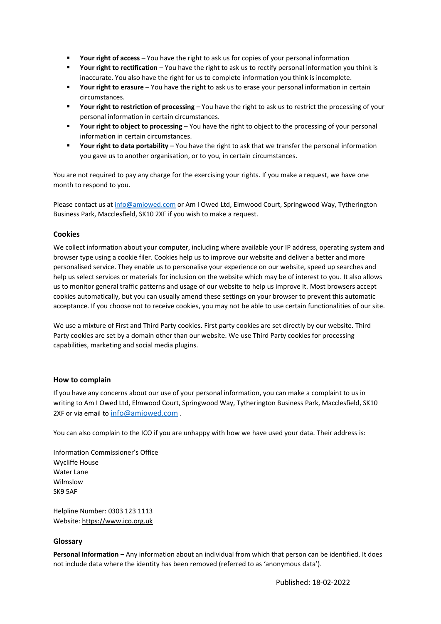- Your right of access You have the right to ask us for copies of your personal information
- **Your right to rectification** You have the right to ask us to rectify personal information you think is inaccurate. You also have the right for us to complete information you think is incomplete.
- **Your right to erasure** You have the right to ask us to erase your personal information in certain circumstances.
- Your right to restriction of processing You have the right to ask us to restrict the processing of your personal information in certain circumstances.
- **Your right to object to processing** You have the right to object to the processing of your personal information in certain circumstances.
- Your right to data portability You have the right to ask that we transfer the personal information you gave us to another organisation, or to you, in certain circumstances.

You are not required to pay any charge for the exercising your rights. If you make a request, we have one month to respond to you.

Please contact us at [info@amiowed.com](mailto:info@amiowed.com) or Am I Owed Ltd, Elmwood Court, Springwood Way, Tytherington Business Park, Macclesfield, SK10 2XF if you wish to make a request.

## **Cookies**

We collect information about your computer, including where available your IP address, operating system and browser type using a cookie filer. Cookies help us to improve our website and deliver a better and more personalised service. They enable us to personalise your experience on our website, speed up searches and help us select services or materials for inclusion on the website which may be of interest to you. It also allows us to monitor general traffic patterns and usage of our website to help us improve it. Most browsers accept cookies automatically, but you can usually amend these settings on your browser to prevent this automatic acceptance. If you choose not to receive cookies, you may not be able to use certain functionalities of our site.

We use a mixture of First and Third Party cookies. First party cookies are set directly by our website. Third Party cookies are set by a domain other than our website. We use Third Party cookies for processing capabilities, marketing and social media plugins.

#### **How to complain**

If you have any concerns about our use of your personal information, you can make a complaint to us in writing to Am I Owed Ltd, Elmwood Court, Springwood Way, Tytherington Business Park, Macclesfield, SK10 2XF or via email to [info@amiowed.com](mailto:info@amiowed.com).

You can also complain to the ICO if you are unhappy with how we have used your data. Their address is:

Information Commissioner's Office Wycliffe House Water Lane Wilmslow SK9 5AF

Helpline Number: 0303 123 1113 Website[: https://www.ico.org.uk](https://www.ico.org.uk/) 

## **Glossary**

**Personal Information –** Any information about an individual from which that person can be identified. It does not include data where the identity has been removed (referred to as 'anonymous data').